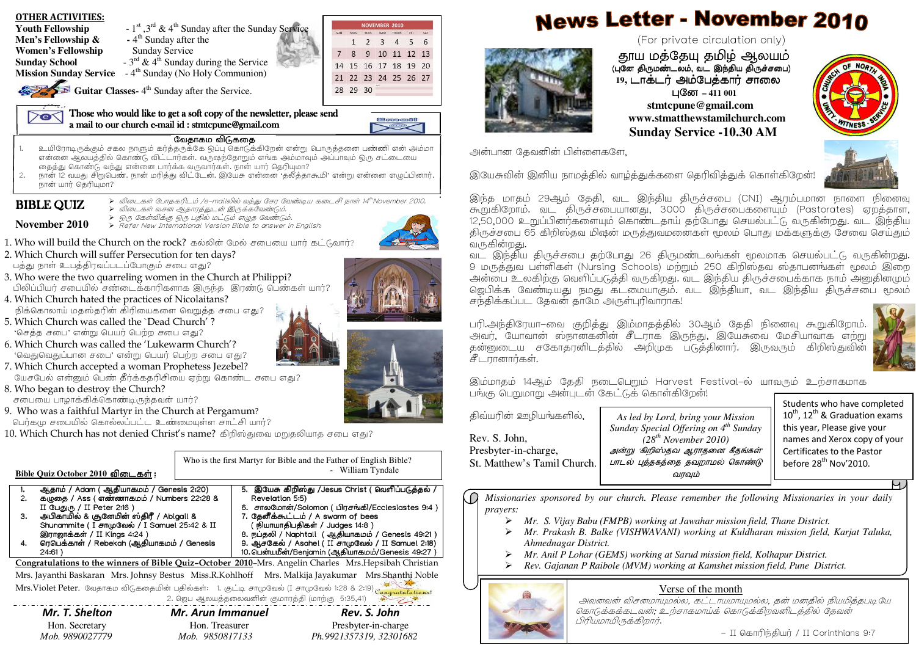**News Letter - November 2010** OTHER ACTIVITIES: NOVEMBER 2010 **Youth Fellowship**  $-1^{st}$ ,  $3^{rd}$  &  $4^{th}$  Sunday after the Sunday Service **Men's Fellowship &**  $-4^{\text{th}}$  Sunday after the (For private circulation only) 1 2 3 4 5 6 **Women's Fellowship •• Sunday Service** 7 8 9 10 11 12 13 வுமை ஆடும் அடிக்கொடி குறிப்படு<br>பண்ணில் வடிக்கிய நிக்காம் **Sunday School** -  $3^{rd}$  &  $4^{th}$  Sunday during the Service 14 15 16 17 18 19 20 (புனே திருமண்டலம், வட இந்திய திருச்சபை)<br>-**Mission Sunday Service** - 4<sup>th</sup> Sunday (No Holy Communion) 21 22 23 24 25 26 27 19, டாக்டர் அம்பேத்கார் சாலை **Guitar Classes-**  $4^{\text{th}}$  Sunday after the Service. 28 29 30 411 001 <del>– 40</del>⊽ – 4∏<br>2 stmtcnune@amail  **stmtcpune@gmail.com** Those who would like to get a soft copy of the newsletter, please send  $\geq$ e $\leq$   **www.stmatthewstamilchurch.com** l Bronce 80 a mail to our church e-mail id : stmtcpune@gmail.com gmail id mail id mail id mail.com gmail.com gmail.com gma<br>gmail.com gmail.com gmail.com gmail.com gmail.com gmail.com gmail.com gmail.com gmail.com gmail.com gmail.com g  **Sunday Service -10.30 AM**வேதாகம விடுகதை . உயிரோடிருக்கும் சகல நாளும் கர்த்தருக்கே ஒப்பு கொடுக்கிறேன் என்று பொருத்தனை பண்ணி என் அம்மா 1.அன்பான கேவனின் பிள்ளைகளே. .<br>என்னை ஆலயத்தில் கொண்டு விட்டார்கள். வருஷந்தோறும் எங்க அம்மாவும் அப்பாவும் ஒரு சட்டையை தைத்து கொண்டு வந்து என்னை பார்க்க வருவார்கள். நான் யார் தெரியுமா? இயேசுவின் இனிய நாமத்தில் வாழ்த்துக்களை தெரிவித்துக் கொள்கிறேன! . நான் 12 வயது சிறுபெண். நான் மரித்து விட்டேன். இயேசு என்னை 'தலீத்தாகூமி' என்று என்னை எழுப்பினார். 2. $\overline{1}$ நான் யார் தெரியுமா? இந்த மாதம் 29ஆம் தேதி, வட இந்திய திருச்சபை (CNI) ஆரம்பமான நாளை நினைவு >?4E>\$/e-mail<AD%6 :>I'?14thNovember2010. **BIBLE QUIZ** கூறுகிறோம். வட திருச்சபையானது, 3000 திருச்சபைகளையும் (Pastorates) ஏறத்தாள, >?%59\*D>1J!"6\$. ► இரு கேள்விக்கு இரு பதில் மட்டும் எழுத வேண்டும்.<br>► Refer New International Version Bible to answer in English.<br>→ 12,50,000 உறுப்பினர்களையும் கொண்டதாய் தற்போது செயல்பட்டு வருகின்றது. வட இந்திய **November 2010**திருச்சபை 65 கிறிஸ்தவ மிஷன் மருத்துவமனைகள் மூலம் பொது மக்களுக்கு சேவை செய்தும் வருகின்றது.  $1.$  Who will build the Church on the rock? கல்லின் மேல் சபையை யார் கட்டுவார்? 2. Which Church will suffer Persecution for ten days? வட இந்திய திருச்சபை தற்போது 26 திருமண்டலங்கள் மூலமாக செயல்பட்டு வருகின்றது. பக்கு நாள் உபக்கிரவப்படப்போகும் சபை எகு? 9 மருக்குவ பள்ளிகள் (Nursing Schools) மற்றும் 250 கிறிஸ்கவ ஸ்காபனங்கள் மூலம் இறை அன்பை உலகிற்கு வெளிப்படுக்கி வருகிறது. வட இந்திய திருச்சபைக்காக நாம் அனுகினமும் 3. Who were the two quarreling women in the Church at Philippi?பிலிப்பியர் சபையில் சண்டைக்காரிகளாக இருந்த இரண்டு பெண்கள் யார்? ஜெபிக்க வேண்டியது நமது கடமையாகும். வட இந்தியா, வட இந்திய திருச்சபை மூலம் 4. Which Church hated the practices of Nicolaitans? $\sigma$ ந்திக்கப்பட தேவன் தாமே அருள்புரிவாராக! .<br>நிக்கொலாய் மதஸ்தரின் கிரியைகளை வெறுத்த சபை எது? 5. Which Church was called the `Dead Church' ?பரி.அந்திரேயா–வை குறித்து இம்மாதத்தில் 30ஆம் தேதி நினைவு கூறுகிறோம். 'செத்த சபை' என்று பெயர் பெற்ற சபை எது? அவர், யோவான் ஸ்நான்கனின் சீடராக இருந்து, இயேசுவை மேசியாவாக எற்று 6. Which Church was called the 'Lukewarm Church'? தன்னுடைய சகோதரனிடத்தில் அறிமுக படுத்தினார். இருவரும் கிறிஸ்துவின் 'வெதுவெதுப்பான சபை' என்று பெயர் பெற்ற சபை எது? சீடரானார்கள். 7. Which Church accepted a woman Prophetess Jezebel? யேசபேல் என்னும் பெண் தீர்க்கதரிசியை ஏற்று கொண்ட சபை எது? இம்மாதம் 14ஆம் கேதி நடைபெறும் Harvest Festival-ல் யாவரும் உற்சாகமாக 8. Who began to destroy the Church? பங்கு பெறுமாறு அன்புடன் கேட்டுக் கொள்கிறேன்!  $\epsilon$ பையை பாழாக்கிக்கொண்டிருந்தவன் யார்? Students who have completed 9. Who was a faithful Martyr in the Church at Pergamum? திவயரின் ஊழியங்களில்,  $10^{th}$ ,  $12^{th}$  & Graduation exams *As led by Lord, bring your Mission* பெர்கமு சபையில் கொல்லப்பட்ட உண்மையுள்ள சாட்சி யார்? this year, Please give your *Sunday Special Offering on 4th Sunday*  $10$ . Which Church has not denied Christ's name? கிறிஸ்துவை மறுதலியாத சபை எது? Rev. S. John,*(28th November 2010)*names and Xerox copy of your Presbyter-in-charge, அன்று கிறிஸ்தவ ஆராதனை கீதங்கள் Certificates to the Pastor Who is the first Martyr for Bible and the Father of English Bible? before 28<sup>th</sup> Nov'2010. St. Matthew's Tamil Church. பாடல் புத்தகத்தை தவறாமல் கொண்டு - William Tyndale $\underline{\text{Bible Quiz October 2010 } }$  <u>விடைகள்</u> : வாவம் . ஆதாம் / Adam ( ஆதியாகமம் / Genesis 2:20) 5. J:K/mnoD J:K/mnoD/JesusChrist JesusChristJesusChrist(.q,4\*< .q,4\*</ 1.O *Missionaries sponsored by our church. Please remember the following Missionaries in your daily* . குழுதை / Ass (எண்ணாகமம் / Numbers 22:28 &<br>\*\*\* 20 . \*\*\* 2:28 Revelation 5:5) 2.6. சாலமோன்/Solomon (பிரசங்கி/Ecclesiastes 9:4 )<br>7. கேரீச்சட்டம் / A லமுமை of boog II பேதுரு / II Peter 2:16 ) *prayers:* 3. 8R<& 8R<&5O1n o; 5O1no;5O1no;/Abigail& Abigail& 7. தேனீக்கூட்டம் / A swarm of bees *Mr. S. Vijay Babu (FMPB) working at Jawahar mission field, Thane District.*  Shunammite ( I சாமுவேல் / I Samuel 25:42 & II ( நியாயாதிபதிகள் / Judges 14:8 ) *Mr. Prakash B. Balke (VISHWAVANI) working at Kuldharan mission field, Karjat Taluka,*   $\blacktriangleright$ இராஜாக்கள் / II Kings 4:24 )<br>-8. நப்தலி / Naphtali ( ஆதியாகமம் / Genesis 49:21 )<br>9. ஆசகேல் / Asahel ( II சாமுவேல் / II Samuel 2:18) *Ahmednagar District.* 4.. ரெபெக்காள் / Rebekah (ஆதியாகமம் / Genesis 24:61)10.டென்யமீன்/Benjamin (ஆதியாகமம்/Genesis 49:27 ) ⋗ *Mr. Anil P Lohar (GEMS) working at Sarud mission field, Kolhapur District.*  Congratulations to the winners of Bible Quiz-October 2010-Mrs. Angelin Charles Mrs. Hepsibah Christian *Rev. Gajanan P Raibole (MVM) working at Kamshet mission field, Pune District.*  ➤ Mrs. Jayanthi Baskaran Mrs. Johnsy Bestus Miss.R.Kohlhoff Mrs. Malkija Jayakumar Mrs.Shanthi Noble Mrs.Violet Peter. வேதாகம விடுகதையின் பதில்கள்: 1. குட்டி சாமுவேல் (I சாமுவேல் 1:28 & 2:19) $_{\mathcal{C}_{\mathbf{on}}}$ Verse of the month2. ஜெப ஆலயத்தலைவனின் குமாரத்தி (மாற்கு 5:35,41)

Mr. T. Shelton Mr. Arun Immanuel Rev. S. John Hon. Secretary Hon. Treasurer Presbyter-in-charge  *Mob. 9890027779 Mob. 9850817133 Ph.9921357319, 32301682* 

- II கொரிந்தியர் / II Corinthians 9:7

ч,

அவனவன் விசனமாயுமல்ல, கட்டாயமாயுமல்ல, தன் மனதில் நியமித்தபடியே

.<br>கொடுக்கக்கடவன், உற்சாகமாயக கொடுக்கிறவனிடத்தில் தேவன்

பிரியமாயிருக்கிறார்.